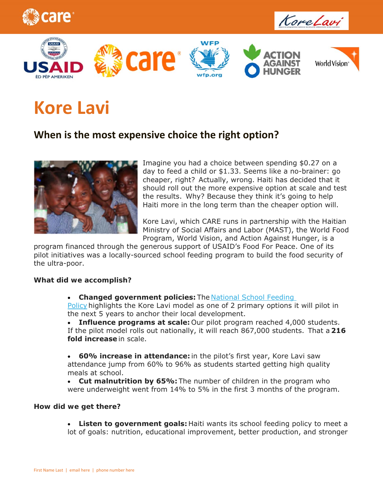





# **Kore Lavi**

## **When is the most expensive choice the right option?**



Imagine you had a choice between spending \$0.27 on a day to feed a child or \$1.33. Seems like a no-brainer: go cheaper, right? Actually, wrong. Haiti has decided that it should roll out the more expensive option at scale and test the results. Why? Because they think it's going to help Haiti more in the long term than the cheaper option will.

Kore Lavi, which CARE runs in partnership with the Haitian Ministry of Social Affairs and Labor (MAST), the World Food Program, World Vision, and Action Against Hunger, is a

program financed through the generous support of USAID's Food For Peace. One of its pilot initiatives was a locally-sourced school feeding program to build the food security of the ultra-poor.

### *What did we accomplish?*

 **Changed government policies:** The National School Feeding Policy highlights the Kore Lavi model as one of 2 primary options it will pilot in

the next 5 years to anchor their local development.

 **Influence programs at scale:** Our pilot program reached 4,000 students. If the pilot model rolls out nationally, it will reach 867,000 students. That a **216 fold increase** in scale.

 **60% increase in attendance:** in the pilot's first year, Kore Lavi saw attendance jump from 60% to 96% as students started getting high quality meals at school.

 **Cut malnutrition by 65%:** The number of children in the program who were underweight went from 14% to 5% in the first 3 months of the program.

### *How did we get there?*

 **Listen to government goals:** Haiti wants its school feeding policy to meet a lot of goals: nutrition, educational improvement, better production, and stronger